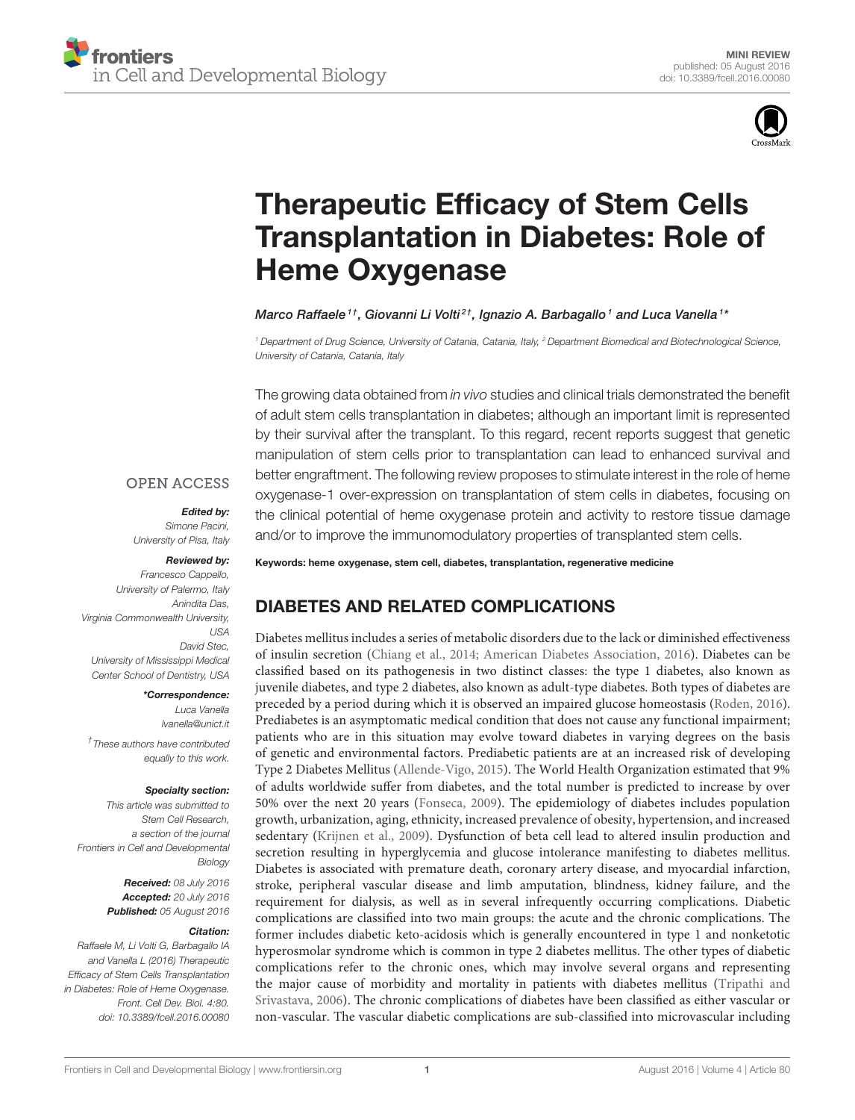

# Therapeutic Efficacy of Stem Cells [Transplantation in Diabetes: Role of](http://journal.frontiersin.org/article/10.3389/fcell.2016.00080/abstract) Heme Oxygenase

### [Marco Raffaele](http://loop.frontiersin.org/people/344434/overview) $^{\textrm{\textit{1}}\dagger}$ , [Giovanni Li Volti](http://loop.frontiersin.org/people/246511/overview) $^{\textrm{\textit{2}}\dagger}$ , [Ignazio A. Barbagallo](http://loop.frontiersin.org/people/247549/overview) $^{\textrm{\textit{1}}}$  and [Luca Vanella](http://loop.frontiersin.org/people/110988/overview) $^{\textrm{\textit{1}}\ast}$

*<sup>1</sup> Department of Drug Science, University of Catania, Catania, Italy, <sup>2</sup> Department Biomedical and Biotechnological Science, University of Catania, Catania, Italy*

The growing data obtained from *in vivo* studies and clinical trials demonstrated the benefit of adult stem cells transplantation in diabetes; although an important limit is represented by their survival after the transplant. To this regard, recent reports suggest that genetic manipulation of stem cells prior to transplantation can lead to enhanced survival and better engraftment. The following review proposes to stimulate interest in the role of heme oxygenase-1 over-expression on transplantation of stem cells in diabetes, focusing on the clinical potential of heme oxygenase protein and activity to restore tissue damage and/or to improve the immunomodulatory properties of transplanted stem cells.

### **OPEN ACCESS**

### Edited by:

*Simone Pacini, University of Pisa, Italy*

#### Reviewed by:

*Francesco Cappello, University of Palermo, Italy Anindita Das, Virginia Commonwealth University, USA David Stec, University of Mississippi Medical Center School of Dentistry, USA*

\*Correspondence:

*Luca Vanella [lvanella@unict.it](mailto:lvanella@unict.it)*

*† These authors have contributed equally to this work.*

### Specialty section:

*This article was submitted to Stem Cell Research, a section of the journal Frontiers in Cell and Developmental Biology*

> Received: *08 July 2016* Accepted: *20 July 2016* Published: *05 August 2016*

### Citation:

*Raffaele M, Li Volti G, Barbagallo IA and Vanella L (2016) Therapeutic Efficacy of Stem Cells Transplantation in Diabetes: Role of Heme Oxygenase. Front. Cell Dev. Biol. 4:80. doi: [10.3389/fcell.2016.00080](http://dx.doi.org/10.3389/fcell.2016.00080)* Keywords: heme oxygenase, stem cell, diabetes, transplantation, regenerative medicine

# DIABETES AND RELATED COMPLICATIONS

Diabetes mellitus includes a series of metabolic disorders due to the lack or diminished effectiveness of insulin secretion [\(Chiang et al., 2014;](#page-4-0) [American Diabetes Association, 2016\)](#page-4-1). Diabetes can be classified based on its pathogenesis in two distinct classes: the type 1 diabetes, also known as juvenile diabetes, and type 2 diabetes, also known as adult-type diabetes. Both types of diabetes are preceded by a period during which it is observed an impaired glucose homeostasis [\(Roden, 2016\)](#page-5-0). Prediabetes is an asymptomatic medical condition that does not cause any functional impairment; patients who are in this situation may evolve toward diabetes in varying degrees on the basis of genetic and environmental factors. Prediabetic patients are at an increased risk of developing Type 2 Diabetes Mellitus [\(Allende-Vigo, 2015\)](#page-4-2). The World Health Organization estimated that 9% of adults worldwide suffer from diabetes, and the total number is predicted to increase by over 50% over the next 20 years [\(Fonseca, 2009\)](#page-5-1). The epidemiology of diabetes includes population growth, urbanization, aging, ethnicity, increased prevalence of obesity, hypertension, and increased sedentary [\(Krijnen et al., 2009\)](#page-5-2). Dysfunction of beta cell lead to altered insulin production and secretion resulting in hyperglycemia and glucose intolerance manifesting to diabetes mellitus. Diabetes is associated with premature death, coronary artery disease, and myocardial infarction, stroke, peripheral vascular disease and limb amputation, blindness, kidney failure, and the requirement for dialysis, as well as in several infrequently occurring complications. Diabetic complications are classified into two main groups: the acute and the chronic complications. The former includes diabetic keto-acidosis which is generally encountered in type 1 and nonketotic hyperosmolar syndrome which is common in type 2 diabetes mellitus. The other types of diabetic complications refer to the chronic ones, which may involve several organs and representing the major cause of morbidity and mortality in patients with diabetes mellitus (Tripathi and Srivastava, [2006\)](#page-6-0). The chronic complications of diabetes have been classified as either vascular or non-vascular. The vascular diabetic complications are sub-classified into microvascular including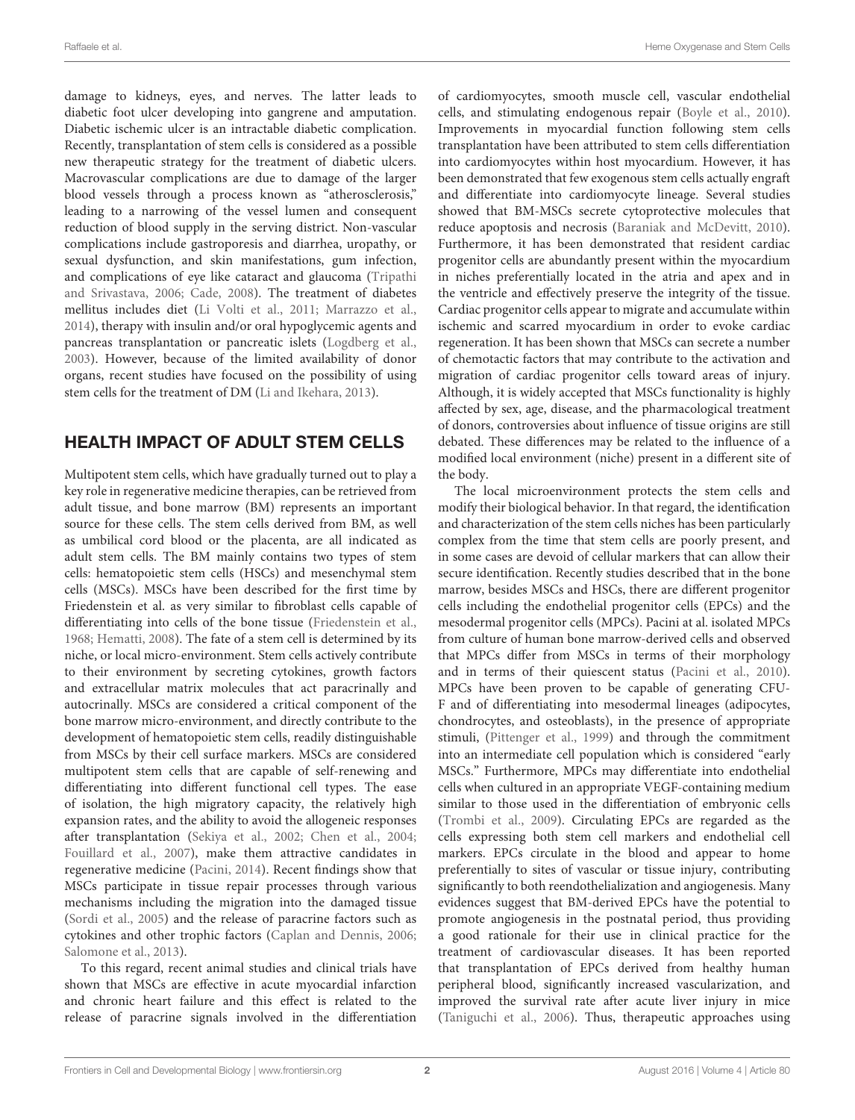damage to kidneys, eyes, and nerves. The latter leads to diabetic foot ulcer developing into gangrene and amputation. Diabetic ischemic ulcer is an intractable diabetic complication. Recently, transplantation of stem cells is considered as a possible new therapeutic strategy for the treatment of diabetic ulcers. Macrovascular complications are due to damage of the larger blood vessels through a process known as "atherosclerosis," leading to a narrowing of the vessel lumen and consequent reduction of blood supply in the serving district. Non-vascular complications include gastroporesis and diarrhea, uropathy, or sexual dysfunction, and skin manifestations, gum infection, and complications of eye like cataract and glaucoma (Tripathi and Srivastava, [2006;](#page-6-0) [Cade, 2008\)](#page-4-3). The treatment of diabetes mellitus includes diet [\(Li Volti et al., 2011;](#page-5-3) [Marrazzo et al.,](#page-5-4) [2014\)](#page-5-4), therapy with insulin and/or oral hypoglycemic agents and pancreas transplantation or pancreatic islets [\(Logdberg et al.,](#page-5-5) [2003\)](#page-5-5). However, because of the limited availability of donor organs, recent studies have focused on the possibility of using stem cells for the treatment of DM [\(Li and Ikehara, 2013\)](#page-5-6).

# HEALTH IMPACT OF ADULT STEM CELLS

Multipotent stem cells, which have gradually turned out to play a key role in regenerative medicine therapies, can be retrieved from adult tissue, and bone marrow (BM) represents an important source for these cells. The stem cells derived from BM, as well as umbilical cord blood or the placenta, are all indicated as adult stem cells. The BM mainly contains two types of stem cells: hematopoietic stem cells (HSCs) and mesenchymal stem cells (MSCs). MSCs have been described for the first time by Friedenstein et al. as very similar to fibroblast cells capable of differentiating into cells of the bone tissue [\(Friedenstein et al.,](#page-5-7) [1968;](#page-5-7) [Hematti, 2008\)](#page-5-8). The fate of a stem cell is determined by its niche, or local micro-environment. Stem cells actively contribute to their environment by secreting cytokines, growth factors and extracellular matrix molecules that act paracrinally and autocrinally. MSCs are considered a critical component of the bone marrow micro-environment, and directly contribute to the development of hematopoietic stem cells, readily distinguishable from MSCs by their cell surface markers. MSCs are considered multipotent stem cells that are capable of self-renewing and differentiating into different functional cell types. The ease of isolation, the high migratory capacity, the relatively high expansion rates, and the ability to avoid the allogeneic responses after transplantation [\(Sekiya et al., 2002;](#page-6-1) [Chen et al., 2004;](#page-4-4) [Fouillard et al., 2007\)](#page-5-9), make them attractive candidates in regenerative medicine [\(Pacini, 2014\)](#page-5-10). Recent findings show that MSCs participate in tissue repair processes through various mechanisms including the migration into the damaged tissue [\(Sordi et al., 2005\)](#page-6-2) and the release of paracrine factors such as cytokines and other trophic factors [\(Caplan and Dennis, 2006;](#page-4-5) [Salomone et al., 2013\)](#page-5-11).

To this regard, recent animal studies and clinical trials have shown that MSCs are effective in acute myocardial infarction and chronic heart failure and this effect is related to the release of paracrine signals involved in the differentiation of cardiomyocytes, smooth muscle cell, vascular endothelial cells, and stimulating endogenous repair [\(Boyle et al., 2010\)](#page-4-6). Improvements in myocardial function following stem cells transplantation have been attributed to stem cells differentiation into cardiomyocytes within host myocardium. However, it has been demonstrated that few exogenous stem cells actually engraft and differentiate into cardiomyocyte lineage. Several studies showed that BM-MSCs secrete cytoprotective molecules that reduce apoptosis and necrosis [\(Baraniak and McDevitt, 2010\)](#page-4-7). Furthermore, it has been demonstrated that resident cardiac progenitor cells are abundantly present within the myocardium in niches preferentially located in the atria and apex and in the ventricle and effectively preserve the integrity of the tissue. Cardiac progenitor cells appear to migrate and accumulate within ischemic and scarred myocardium in order to evoke cardiac regeneration. It has been shown that MSCs can secrete a number of chemotactic factors that may contribute to the activation and migration of cardiac progenitor cells toward areas of injury. Although, it is widely accepted that MSCs functionality is highly affected by sex, age, disease, and the pharmacological treatment of donors, controversies about influence of tissue origins are still debated. These differences may be related to the influence of a modified local environment (niche) present in a different site of the body.

The local microenvironment protects the stem cells and modify their biological behavior. In that regard, the identification and characterization of the stem cells niches has been particularly complex from the time that stem cells are poorly present, and in some cases are devoid of cellular markers that can allow their secure identification. Recently studies described that in the bone marrow, besides MSCs and HSCs, there are different progenitor cells including the endothelial progenitor cells (EPCs) and the mesodermal progenitor cells (MPCs). Pacini at al. isolated MPCs from culture of human bone marrow-derived cells and observed that MPCs differ from MSCs in terms of their morphology and in terms of their quiescent status [\(Pacini et al., 2010\)](#page-5-12). MPCs have been proven to be capable of generating CFU-F and of differentiating into mesodermal lineages (adipocytes, chondrocytes, and osteoblasts), in the presence of appropriate stimuli, [\(Pittenger et al., 1999\)](#page-5-13) and through the commitment into an intermediate cell population which is considered "early MSCs." Furthermore, MPCs may differentiate into endothelial cells when cultured in an appropriate VEGF-containing medium similar to those used in the differentiation of embryonic cells [\(Trombi et al., 2009\)](#page-6-3). Circulating EPCs are regarded as the cells expressing both stem cell markers and endothelial cell markers. EPCs circulate in the blood and appear to home preferentially to sites of vascular or tissue injury, contributing significantly to both reendothelialization and angiogenesis. Many evidences suggest that BM-derived EPCs have the potential to promote angiogenesis in the postnatal period, thus providing a good rationale for their use in clinical practice for the treatment of cardiovascular diseases. It has been reported that transplantation of EPCs derived from healthy human peripheral blood, significantly increased vascularization, and improved the survival rate after acute liver injury in mice [\(Taniguchi et al., 2006\)](#page-6-4). Thus, therapeutic approaches using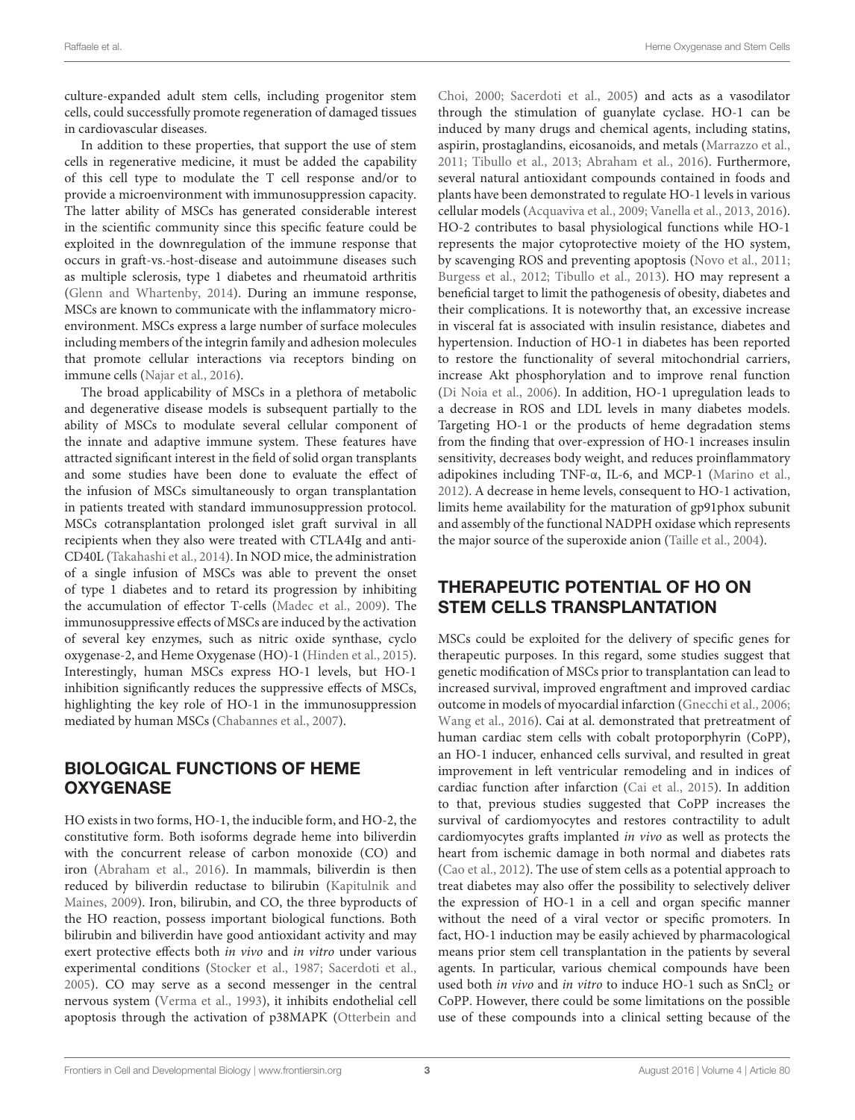culture-expanded adult stem cells, including progenitor stem cells, could successfully promote regeneration of damaged tissues in cardiovascular diseases.

In addition to these properties, that support the use of stem cells in regenerative medicine, it must be added the capability of this cell type to modulate the T cell response and/or to provide a microenvironment with immunosuppression capacity. The latter ability of MSCs has generated considerable interest in the scientific community since this specific feature could be exploited in the downregulation of the immune response that occurs in graft-vs.-host-disease and autoimmune diseases such as multiple sclerosis, type 1 diabetes and rheumatoid arthritis [\(Glenn and Whartenby, 2014\)](#page-5-14). During an immune response, MSCs are known to communicate with the inflammatory microenvironment. MSCs express a large number of surface molecules including members of the integrin family and adhesion molecules that promote cellular interactions via receptors binding on immune cells [\(Najar et al., 2016\)](#page-5-15).

The broad applicability of MSCs in a plethora of metabolic and degenerative disease models is subsequent partially to the ability of MSCs to modulate several cellular component of the innate and adaptive immune system. These features have attracted significant interest in the field of solid organ transplants and some studies have been done to evaluate the effect of the infusion of MSCs simultaneously to organ transplantation in patients treated with standard immunosuppression protocol. MSCs cotransplantation prolonged islet graft survival in all recipients when they also were treated with CTLA4Ig and anti-CD40L [\(Takahashi et al., 2014\)](#page-6-5). In NOD mice, the administration of a single infusion of MSCs was able to prevent the onset of type 1 diabetes and to retard its progression by inhibiting the accumulation of effector T-cells [\(Madec et al., 2009\)](#page-5-16). The immunosuppressive effects of MSCs are induced by the activation of several key enzymes, such as nitric oxide synthase, cyclo oxygenase-2, and Heme Oxygenase (HO)-1 [\(Hinden et al., 2015\)](#page-5-17). Interestingly, human MSCs express HO-1 levels, but HO-1 inhibition significantly reduces the suppressive effects of MSCs, highlighting the key role of HO-1 in the immunosuppression mediated by human MSCs [\(Chabannes et al., 2007\)](#page-4-8).

# BIOLOGICAL FUNCTIONS OF HEME **OXYGENASE**

HO exists in two forms, HO-1, the inducible form, and HO-2, the constitutive form. Both isoforms degrade heme into biliverdin with the concurrent release of carbon monoxide (CO) and iron [\(Abraham et al., 2016\)](#page-4-9). In mammals, biliverdin is then reduced by biliverdin reductase to bilirubin (Kapitulnik and Maines, [2009\)](#page-5-18). Iron, bilirubin, and CO, the three byproducts of the HO reaction, possess important biological functions. Both bilirubin and biliverdin have good antioxidant activity and may exert protective effects both in vivo and in vitro under various experimental conditions [\(Stocker et al., 1987;](#page-6-6) [Sacerdoti et al.,](#page-5-19) [2005\)](#page-5-19). CO may serve as a second messenger in the central nervous system [\(Verma et al., 1993\)](#page-6-7), it inhibits endothelial cell apoptosis through the activation of p38MAPK (Otterbein and Choi, [2000;](#page-5-20) [Sacerdoti et al., 2005\)](#page-5-19) and acts as a vasodilator through the stimulation of guanylate cyclase. HO-1 can be induced by many drugs and chemical agents, including statins, aspirin, prostaglandins, eicosanoids, and metals [\(Marrazzo et al.,](#page-5-21) [2011;](#page-5-21) [Tibullo et al., 2013;](#page-6-8) [Abraham et al., 2016\)](#page-4-9). Furthermore, several natural antioxidant compounds contained in foods and plants have been demonstrated to regulate HO-1 levels in various cellular models [\(Acquaviva et al., 2009;](#page-4-10) [Vanella et al., 2013,](#page-6-9) [2016\)](#page-6-10). HO-2 contributes to basal physiological functions while HO-1 represents the major cytoprotective moiety of the HO system, by scavenging ROS and preventing apoptosis [\(Novo et al., 2011;](#page-5-22) [Burgess et al., 2012;](#page-4-11) [Tibullo et al., 2013\)](#page-6-8). HO may represent a beneficial target to limit the pathogenesis of obesity, diabetes and their complications. It is noteworthy that, an excessive increase in visceral fat is associated with insulin resistance, diabetes and hypertension. Induction of HO-1 in diabetes has been reported to restore the functionality of several mitochondrial carriers, increase Akt phosphorylation and to improve renal function [\(Di Noia et al., 2006\)](#page-5-23). In addition, HO-1 upregulation leads to a decrease in ROS and LDL levels in many diabetes models. Targeting HO-1 or the products of heme degradation stems from the finding that over-expression of HO-1 increases insulin sensitivity, decreases body weight, and reduces proinflammatory adipokines including TNF-α, IL-6, and MCP-1 [\(Marino et al.,](#page-5-24) [2012\)](#page-5-24). A decrease in heme levels, consequent to HO-1 activation, limits heme availability for the maturation of gp91phox subunit and assembly of the functional NADPH oxidase which represents the major source of the superoxide anion [\(Taille et al., 2004\)](#page-6-11).

# THERAPEUTIC POTENTIAL OF HO ON STEM CELLS TRANSPLANTATION

MSCs could be exploited for the delivery of specific genes for therapeutic purposes. In this regard, some studies suggest that genetic modification of MSCs prior to transplantation can lead to increased survival, improved engraftment and improved cardiac outcome in models of myocardial infarction [\(Gnecchi et al., 2006;](#page-5-25) [Wang et al., 2016\)](#page-6-12). Cai at al. demonstrated that pretreatment of human cardiac stem cells with cobalt protoporphyrin (CoPP), an HO-1 inducer, enhanced cells survival, and resulted in great improvement in left ventricular remodeling and in indices of cardiac function after infarction [\(Cai et al., 2015\)](#page-4-12). In addition to that, previous studies suggested that CoPP increases the survival of cardiomyocytes and restores contractility to adult cardiomyocytes grafts implanted in vivo as well as protects the heart from ischemic damage in both normal and diabetes rats [\(Cao et al., 2012\)](#page-4-13). The use of stem cells as a potential approach to treat diabetes may also offer the possibility to selectively deliver the expression of HO-1 in a cell and organ specific manner without the need of a viral vector or specific promoters. In fact, HO-1 induction may be easily achieved by pharmacological means prior stem cell transplantation in the patients by several agents. In particular, various chemical compounds have been used both in vivo and in vitro to induce HO-1 such as  $SnCl<sub>2</sub>$  or CoPP. However, there could be some limitations on the possible use of these compounds into a clinical setting because of the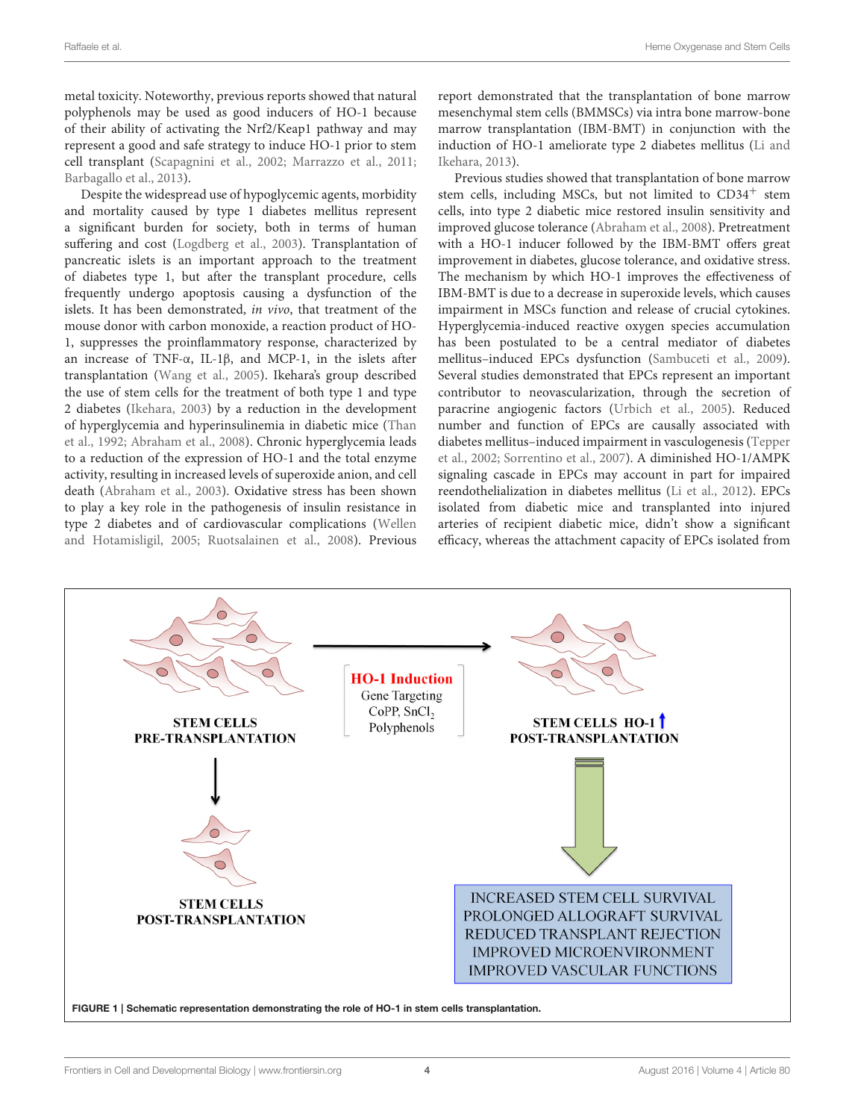metal toxicity. Noteworthy, previous reports showed that natural polyphenols may be used as good inducers of HO-1 because of their ability of activating the Nrf2/Keap1 pathway and may represent a good and safe strategy to induce HO-1 prior to stem cell transplant [\(Scapagnini et al., 2002;](#page-6-13) [Marrazzo et al., 2011;](#page-5-21) [Barbagallo et al., 2013\)](#page-4-14).

Despite the widespread use of hypoglycemic agents, morbidity and mortality caused by type 1 diabetes mellitus represent a significant burden for society, both in terms of human suffering and cost [\(Logdberg et al., 2003\)](#page-5-5). Transplantation of pancreatic islets is an important approach to the treatment of diabetes type 1, but after the transplant procedure, cells frequently undergo apoptosis causing a dysfunction of the islets. It has been demonstrated, in vivo, that treatment of the mouse donor with carbon monoxide, a reaction product of HO-1, suppresses the proinflammatory response, characterized by an increase of TNF-α, IL-1β, and MCP-1, in the islets after transplantation [\(Wang et al., 2005\)](#page-6-14). Ikehara's group described the use of stem cells for the treatment of both type 1 and type 2 diabetes [\(Ikehara, 2003\)](#page-5-26) by a reduction in the development of hyperglycemia and hyperinsulinemia in diabetic mice (Than et al., [1992;](#page-6-15) [Abraham et al., 2008\)](#page-4-15). Chronic hyperglycemia leads to a reduction of the expression of HO-1 and the total enzyme activity, resulting in increased levels of superoxide anion, and cell death [\(Abraham et al., 2003\)](#page-4-16). Oxidative stress has been shown to play a key role in the pathogenesis of insulin resistance in type 2 diabetes and of cardiovascular complications (Wellen and Hotamisligil, [2005;](#page-6-16) [Ruotsalainen et al., 2008\)](#page-5-27). Previous report demonstrated that the transplantation of bone marrow mesenchymal stem cells (BMMSCs) via intra bone marrow-bone marrow transplantation (IBM-BMT) in conjunction with the induction of HO-1 ameliorate type 2 diabetes mellitus (Li and Ikehara, [2013\)](#page-5-6).

Previous studies showed that transplantation of bone marrow stem cells, including MSCs, but not limited to  $CD34<sup>+</sup>$  stem cells, into type 2 diabetic mice restored insulin sensitivity and improved glucose tolerance [\(Abraham et al., 2008\)](#page-4-15). Pretreatment with a HO-1 inducer followed by the IBM-BMT offers great improvement in diabetes, glucose tolerance, and oxidative stress. The mechanism by which HO-1 improves the effectiveness of IBM-BMT is due to a decrease in superoxide levels, which causes impairment in MSCs function and release of crucial cytokines. Hyperglycemia-induced reactive oxygen species accumulation has been postulated to be a central mediator of diabetes mellitus–induced EPCs dysfunction [\(Sambuceti et al., 2009\)](#page-6-17). Several studies demonstrated that EPCs represent an important contributor to neovascularization, through the secretion of paracrine angiogenic factors [\(Urbich et al., 2005\)](#page-6-18). Reduced number and function of EPCs are causally associated with diabetes mellitus–induced impairment in vasculogenesis (Tepper et al., [2002;](#page-6-19) [Sorrentino et al., 2007\)](#page-6-20). A diminished HO-1/AMPK signaling cascade in EPCs may account in part for impaired reendothelialization in diabetes mellitus [\(Li et al., 2012\)](#page-5-28). EPCs isolated from diabetic mice and transplanted into injured arteries of recipient diabetic mice, didn't show a significant efficacy, whereas the attachment capacity of EPCs isolated from

<span id="page-3-0"></span>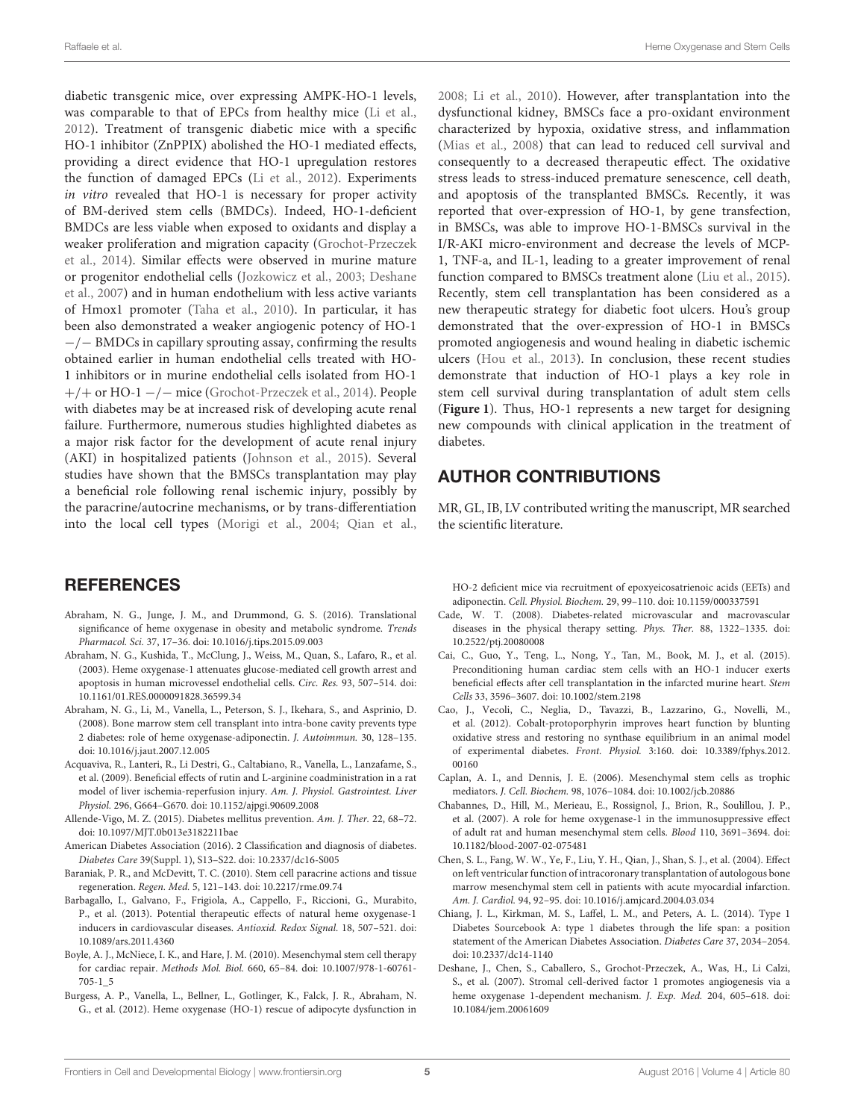diabetic transgenic mice, over expressing AMPK-HO-1 levels, was comparable to that of EPCs from healthy mice [\(Li et al.,](#page-5-28) [2012\)](#page-5-28). Treatment of transgenic diabetic mice with a specific HO-1 inhibitor (ZnPPIX) abolished the HO-1 mediated effects, providing a direct evidence that HO-1 upregulation restores the function of damaged EPCs [\(Li et al., 2012\)](#page-5-28). Experiments in vitro revealed that HO-1 is necessary for proper activity of BM-derived stem cells (BMDCs). Indeed, HO-1-deficient BMDCs are less viable when exposed to oxidants and display a weaker proliferation and migration capacity (Grochot-Przeczek et al., [2014\)](#page-5-29). Similar effects were observed in murine mature or progenitor endothelial cells [\(Jozkowicz et al., 2003;](#page-5-30) Deshane et al., [2007\)](#page-4-17) and in human endothelium with less active variants of Hmox1 promoter [\(Taha et al., 2010\)](#page-6-21). In particular, it has been also demonstrated a weaker angiogenic potency of HO-1 −/− BMDCs in capillary sprouting assay, confirming the results obtained earlier in human endothelial cells treated with HO-1 inhibitors or in murine endothelial cells isolated from HO-1 +/+ or HO-1 −/− mice [\(Grochot-Przeczek et al., 2014\)](#page-5-29). People with diabetes may be at increased risk of developing acute renal failure. Furthermore, numerous studies highlighted diabetes as a major risk factor for the development of acute renal injury (AKI) in hospitalized patients [\(Johnson et al., 2015\)](#page-5-31). Several studies have shown that the BMSCs transplantation may play a beneficial role following renal ischemic injury, possibly by the paracrine/autocrine mechanisms, or by trans-differentiation into the local cell types [\(Morigi et al., 2004;](#page-5-32) [Qian et al.,](#page-5-33)

## **REFERENCES**

- <span id="page-4-9"></span>Abraham, N. G., Junge, J. M., and Drummond, G. S. (2016). Translational significance of heme oxygenase in obesity and metabolic syndrome. Trends Pharmacol. Sci. 37, 17–36. doi: 10.1016/j.tips.2015.09.003
- <span id="page-4-16"></span>Abraham, N. G., Kushida, T., McClung, J., Weiss, M., Quan, S., Lafaro, R., et al. (2003). Heme oxygenase-1 attenuates glucose-mediated cell growth arrest and apoptosis in human microvessel endothelial cells. Circ. Res. 93, 507–514. doi: 10.1161/01.RES.0000091828.36599.34
- <span id="page-4-15"></span>Abraham, N. G., Li, M., Vanella, L., Peterson, S. J., Ikehara, S., and Asprinio, D. (2008). Bone marrow stem cell transplant into intra-bone cavity prevents type 2 diabetes: role of heme oxygenase-adiponectin. J. Autoimmun. 30, 128–135. doi: 10.1016/j.jaut.2007.12.005
- <span id="page-4-10"></span>Acquaviva, R., Lanteri, R., Li Destri, G., Caltabiano, R., Vanella, L., Lanzafame, S., et al. (2009). Beneficial effects of rutin and L-arginine coadministration in a rat model of liver ischemia-reperfusion injury. Am. J. Physiol. Gastrointest. Liver Physiol. 296, G664–G670. doi: 10.1152/ajpgi.90609.2008
- <span id="page-4-2"></span>Allende-Vigo, M. Z. (2015). Diabetes mellitus prevention. Am. J. Ther. 22, 68–72. doi: 10.1097/MJT.0b013e3182211bae
- <span id="page-4-1"></span>American Diabetes Association (2016). 2 Classification and diagnosis of diabetes. Diabetes Care 39(Suppl. 1), S13–S22. doi: 10.2337/dc16-S005
- <span id="page-4-7"></span>Baraniak, P. R., and McDevitt, T. C. (2010). Stem cell paracrine actions and tissue regeneration. Regen. Med. 5, 121–143. doi: 10.2217/rme.09.74
- <span id="page-4-14"></span>Barbagallo, I., Galvano, F., Frigiola, A., Cappello, F., Riccioni, G., Murabito, P., et al. (2013). Potential therapeutic effects of natural heme oxygenase-1 inducers in cardiovascular diseases. Antioxid. Redox Signal. 18, 507–521. doi: 10.1089/ars.2011.4360
- <span id="page-4-6"></span>Boyle, A. J., McNiece, I. K., and Hare, J. M. (2010). Mesenchymal stem cell therapy for cardiac repair. Methods Mol. Biol. 660, 65–84. doi: 10.1007/978-1-60761- 705-1\_5
- <span id="page-4-11"></span>Burgess, A. P., Vanella, L., Bellner, L., Gotlinger, K., Falck, J. R., Abraham, N. G., et al. (2012). Heme oxygenase (HO-1) rescue of adipocyte dysfunction in

[2008;](#page-5-33) [Li et al., 2010\)](#page-5-34). However, after transplantation into the dysfunctional kidney, BMSCs face a pro-oxidant environment characterized by hypoxia, oxidative stress, and inflammation [\(Mias et al., 2008\)](#page-5-35) that can lead to reduced cell survival and consequently to a decreased therapeutic effect. The oxidative stress leads to stress-induced premature senescence, cell death, and apoptosis of the transplanted BMSCs. Recently, it was reported that over-expression of HO-1, by gene transfection, in BMSCs, was able to improve HO-1-BMSCs survival in the I/R-AKI micro-environment and decrease the levels of MCP-1, TNF-a, and IL-1, leading to a greater improvement of renal function compared to BMSCs treatment alone [\(Liu et al., 2015\)](#page-5-36). Recently, stem cell transplantation has been considered as a new therapeutic strategy for diabetic foot ulcers. Hou's group demonstrated that the over-expression of HO-1 in BMSCs promoted angiogenesis and wound healing in diabetic ischemic ulcers [\(Hou et al., 2013\)](#page-5-37). In conclusion, these recent studies demonstrate that induction of HO-1 plays a key role in stem cell survival during transplantation of adult stem cells (**[Figure 1](#page-3-0)**). Thus, HO-1 represents a new target for designing new compounds with clinical application in the treatment of diabetes.

## AUTHOR CONTRIBUTIONS

MR, GL, IB, LV contributed writing the manuscript, MR searched the scientific literature.

HO-2 deficient mice via recruitment of epoxyeicosatrienoic acids (EETs) and adiponectin. Cell. Physiol. Biochem. 29, 99–110. doi: 10.1159/000337591

- <span id="page-4-3"></span>Cade, W. T. (2008). Diabetes-related microvascular and macrovascular diseases in the physical therapy setting. Phys. Ther. 88, 1322–1335. doi: 10.2522/ptj.20080008
- <span id="page-4-12"></span>Cai, C., Guo, Y., Teng, L., Nong, Y., Tan, M., Book, M. J., et al. (2015). Preconditioning human cardiac stem cells with an HO-1 inducer exerts beneficial effects after cell transplantation in the infarcted murine heart. Stem Cells 33, 3596–3607. doi: 10.1002/stem.2198
- <span id="page-4-13"></span>Cao, J., Vecoli, C., Neglia, D., Tavazzi, B., Lazzarino, G., Novelli, M., et al. (2012). Cobalt-protoporphyrin improves heart function by blunting oxidative stress and restoring no synthase equilibrium in an animal model of experimental diabetes. Front. Physiol. 3:160. doi: 10.3389/fphys.2012. 00160
- <span id="page-4-5"></span>Caplan, A. I., and Dennis, J. E. (2006). Mesenchymal stem cells as trophic mediators. J. Cell. Biochem. 98, 1076–1084. doi: 10.1002/jcb.20886
- <span id="page-4-8"></span>Chabannes, D., Hill, M., Merieau, E., Rossignol, J., Brion, R., Soulillou, J. P., et al. (2007). A role for heme oxygenase-1 in the immunosuppressive effect of adult rat and human mesenchymal stem cells. Blood 110, 3691–3694. doi: 10.1182/blood-2007-02-075481
- <span id="page-4-4"></span>Chen, S. L., Fang, W. W., Ye, F., Liu, Y. H., Qian, J., Shan, S. J., et al. (2004). Effect on left ventricular function of intracoronary transplantation of autologous bone marrow mesenchymal stem cell in patients with acute myocardial infarction. Am. J. Cardiol. 94, 92–95. doi: 10.1016/j.amjcard.2004.03.034
- <span id="page-4-0"></span>Chiang, J. L., Kirkman, M. S., Laffel, L. M., and Peters, A. L. (2014). Type 1 Diabetes Sourcebook A: type 1 diabetes through the life span: a position statement of the American Diabetes Association. Diabetes Care 37, 2034–2054. doi: 10.2337/dc14-1140
- <span id="page-4-17"></span>Deshane, J., Chen, S., Caballero, S., Grochot-Przeczek, A., Was, H., Li Calzi, S., et al. (2007). Stromal cell-derived factor 1 promotes angiogenesis via a heme oxygenase 1-dependent mechanism. J. Exp. Med. 204, 605–618. doi: 10.1084/jem.20061609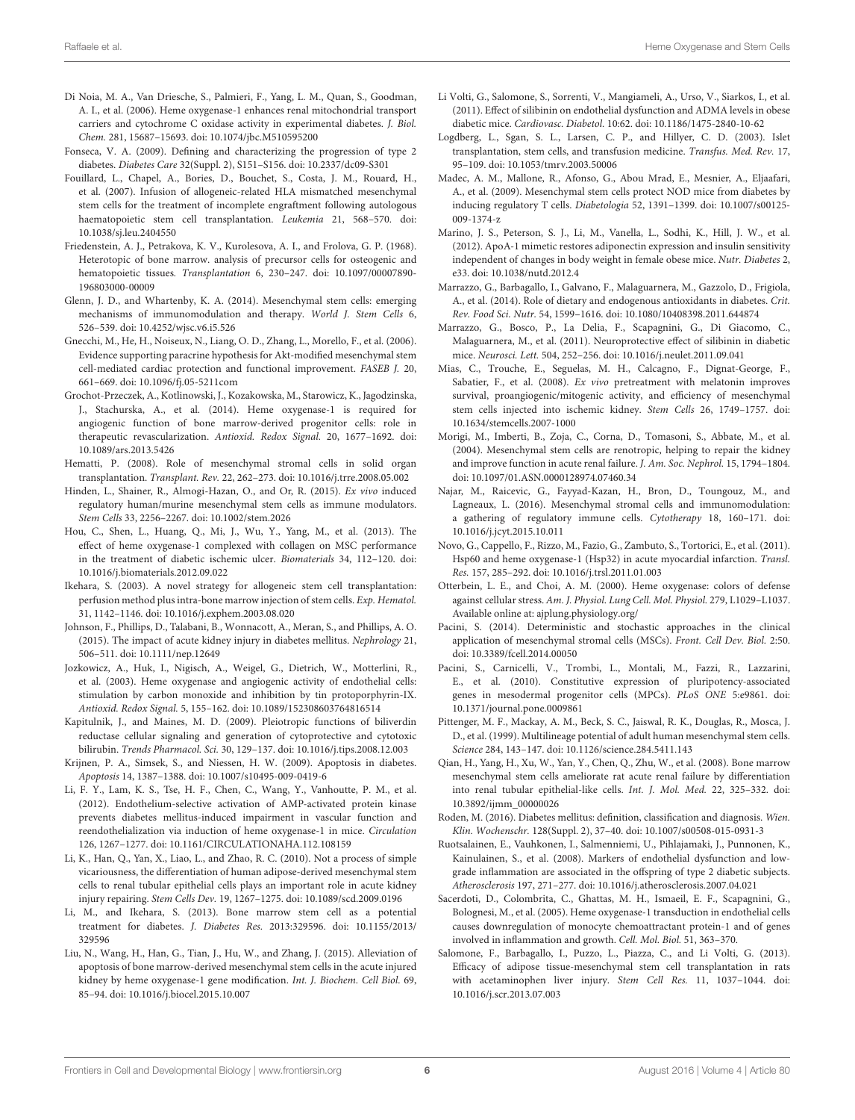- <span id="page-5-23"></span>Di Noia, M. A., Van Driesche, S., Palmieri, F., Yang, L. M., Quan, S., Goodman, A. I., et al. (2006). Heme oxygenase-1 enhances renal mitochondrial transport carriers and cytochrome C oxidase activity in experimental diabetes. J. Biol. Chem. 281, 15687–15693. doi: 10.1074/jbc.M510595200
- <span id="page-5-1"></span>Fonseca, V. A. (2009). Defining and characterizing the progression of type 2 diabetes. Diabetes Care 32(Suppl. 2), S151–S156. doi: 10.2337/dc09-S301
- <span id="page-5-9"></span>Fouillard, L., Chapel, A., Bories, D., Bouchet, S., Costa, J. M., Rouard, H., et al. (2007). Infusion of allogeneic-related HLA mismatched mesenchymal stem cells for the treatment of incomplete engraftment following autologous haematopoietic stem cell transplantation. Leukemia 21, 568–570. doi: 10.1038/sj.leu.2404550
- <span id="page-5-7"></span>Friedenstein, A. J., Petrakova, K. V., Kurolesova, A. I., and Frolova, G. P. (1968). Heterotopic of bone marrow. analysis of precursor cells for osteogenic and hematopoietic tissues. Transplantation 6, 230–247. doi: 10.1097/00007890- 196803000-00009
- <span id="page-5-14"></span>Glenn, J. D., and Whartenby, K. A. (2014). Mesenchymal stem cells: emerging mechanisms of immunomodulation and therapy. World J. Stem Cells 6, 526–539. doi: 10.4252/wjsc.v6.i5.526
- <span id="page-5-25"></span>Gnecchi, M., He, H., Noiseux, N., Liang, O. D., Zhang, L., Morello, F., et al. (2006). Evidence supporting paracrine hypothesis for Akt-modified mesenchymal stem cell-mediated cardiac protection and functional improvement. FASEB J. 20, 661–669. doi: 10.1096/fj.05-5211com
- <span id="page-5-29"></span>Grochot-Przeczek, A., Kotlinowski, J., Kozakowska, M., Starowicz, K., Jagodzinska, J., Stachurska, A., et al. (2014). Heme oxygenase-1 is required for angiogenic function of bone marrow-derived progenitor cells: role in therapeutic revascularization. Antioxid. Redox Signal. 20, 1677–1692. doi: 10.1089/ars.2013.5426
- <span id="page-5-8"></span>Hematti, P. (2008). Role of mesenchymal stromal cells in solid organ transplantation. Transplant. Rev. 22, 262–273. doi: 10.1016/j.trre.2008.05.002
- <span id="page-5-17"></span>Hinden, L., Shainer, R., Almogi-Hazan, O., and Or, R. (2015). Ex vivo induced regulatory human/murine mesenchymal stem cells as immune modulators. Stem Cells 33, 2256–2267. doi: 10.1002/stem.2026
- <span id="page-5-37"></span>Hou, C., Shen, L., Huang, Q., Mi, J., Wu, Y., Yang, M., et al. (2013). The effect of heme oxygenase-1 complexed with collagen on MSC performance in the treatment of diabetic ischemic ulcer. Biomaterials 34, 112–120. doi: 10.1016/j.biomaterials.2012.09.022
- <span id="page-5-26"></span>Ikehara, S. (2003). A novel strategy for allogeneic stem cell transplantation: perfusion method plus intra-bone marrow injection of stem cells. Exp. Hematol. 31, 1142–1146. doi: 10.1016/j.exphem.2003.08.020
- <span id="page-5-31"></span>Johnson, F., Phillips, D., Talabani, B., Wonnacott, A., Meran, S., and Phillips, A. O. (2015). The impact of acute kidney injury in diabetes mellitus. Nephrology 21, 506–511. doi: 10.1111/nep.12649
- <span id="page-5-30"></span>Jozkowicz, A., Huk, I., Nigisch, A., Weigel, G., Dietrich, W., Motterlini, R., et al. (2003). Heme oxygenase and angiogenic activity of endothelial cells: stimulation by carbon monoxide and inhibition by tin protoporphyrin-IX. Antioxid. Redox Signal. 5, 155–162. doi: 10.1089/152308603764816514
- <span id="page-5-18"></span>Kapitulnik, J., and Maines, M. D. (2009). Pleiotropic functions of biliverdin reductase cellular signaling and generation of cytoprotective and cytotoxic bilirubin. Trends Pharmacol. Sci. 30, 129–137. doi: 10.1016/j.tips.2008.12.003
- <span id="page-5-2"></span>Krijnen, P. A., Simsek, S., and Niessen, H. W. (2009). Apoptosis in diabetes. Apoptosis 14, 1387–1388. doi: 10.1007/s10495-009-0419-6
- <span id="page-5-28"></span>Li, F. Y., Lam, K. S., Tse, H. F., Chen, C., Wang, Y., Vanhoutte, P. M., et al. (2012). Endothelium-selective activation of AMP-activated protein kinase prevents diabetes mellitus-induced impairment in vascular function and reendothelialization via induction of heme oxygenase-1 in mice. Circulation 126, 1267–1277. doi: 10.1161/CIRCULATIONAHA.112.108159
- <span id="page-5-34"></span>Li, K., Han, Q., Yan, X., Liao, L., and Zhao, R. C. (2010). Not a process of simple vicariousness, the differentiation of human adipose-derived mesenchymal stem cells to renal tubular epithelial cells plays an important role in acute kidney injury repairing. Stem Cells Dev. 19, 1267–1275. doi: 10.1089/scd.2009.0196
- <span id="page-5-6"></span>Li, M., and Ikehara, S. (2013). Bone marrow stem cell as a potential treatment for diabetes. J. Diabetes Res. 2013:329596. doi: 10.1155/2013/ 329596
- <span id="page-5-36"></span>Liu, N., Wang, H., Han, G., Tian, J., Hu, W., and Zhang, J. (2015). Alleviation of apoptosis of bone marrow-derived mesenchymal stem cells in the acute injured kidney by heme oxygenase-1 gene modification. Int. J. Biochem. Cell Biol. 69, 85–94. doi: 10.1016/j.biocel.2015.10.007
- <span id="page-5-3"></span>Li Volti, G., Salomone, S., Sorrenti, V., Mangiameli, A., Urso, V., Siarkos, I., et al. (2011). Effect of silibinin on endothelial dysfunction and ADMA levels in obese diabetic mice. Cardiovasc. Diabetol. 10:62. doi: 10.1186/1475-2840-10-62
- <span id="page-5-5"></span>Logdberg, L., Sgan, S. L., Larsen, C. P., and Hillyer, C. D. (2003). Islet transplantation, stem cells, and transfusion medicine. Transfus. Med. Rev. 17, 95–109. doi: 10.1053/tmrv.2003.50006
- <span id="page-5-16"></span>Madec, A. M., Mallone, R., Afonso, G., Abou Mrad, E., Mesnier, A., Eljaafari, A., et al. (2009). Mesenchymal stem cells protect NOD mice from diabetes by inducing regulatory T cells. Diabetologia 52, 1391–1399. doi: 10.1007/s00125- 009-1374-z
- <span id="page-5-24"></span>Marino, J. S., Peterson, S. J., Li, M., Vanella, L., Sodhi, K., Hill, J. W., et al. (2012). ApoA-1 mimetic restores adiponectin expression and insulin sensitivity independent of changes in body weight in female obese mice. Nutr. Diabetes 2, e33. doi: 10.1038/nutd.2012.4
- <span id="page-5-4"></span>Marrazzo, G., Barbagallo, I., Galvano, F., Malaguarnera, M., Gazzolo, D., Frigiola, A., et al. (2014). Role of dietary and endogenous antioxidants in diabetes. Crit. Rev. Food Sci. Nutr. 54, 1599–1616. doi: 10.1080/10408398.2011.644874
- <span id="page-5-21"></span>Marrazzo, G., Bosco, P., La Delia, F., Scapagnini, G., Di Giacomo, C., Malaguarnera, M., et al. (2011). Neuroprotective effect of silibinin in diabetic mice. Neurosci. Lett. 504, 252–256. doi: 10.1016/j.neulet.2011.09.041
- <span id="page-5-35"></span>Mias, C., Trouche, E., Seguelas, M. H., Calcagno, F., Dignat-George, F., Sabatier, F., et al. (2008). Ex vivo pretreatment with melatonin improves survival, proangiogenic/mitogenic activity, and efficiency of mesenchymal stem cells injected into ischemic kidney. Stem Cells 26, 1749–1757. doi: 10.1634/stemcells.2007-1000
- <span id="page-5-32"></span>Morigi, M., Imberti, B., Zoja, C., Corna, D., Tomasoni, S., Abbate, M., et al. (2004). Mesenchymal stem cells are renotropic, helping to repair the kidney and improve function in acute renal failure. J. Am. Soc. Nephrol. 15, 1794–1804. doi: 10.1097/01.ASN.0000128974.07460.34
- <span id="page-5-15"></span>Najar, M., Raicevic, G., Fayyad-Kazan, H., Bron, D., Toungouz, M., and Lagneaux, L. (2016). Mesenchymal stromal cells and immunomodulation: a gathering of regulatory immune cells. Cytotherapy 18, 160–171. doi: 10.1016/j.jcyt.2015.10.011
- <span id="page-5-22"></span>Novo, G., Cappello, F., Rizzo, M., Fazio, G., Zambuto, S., Tortorici, E., et al. (2011). Hsp60 and heme oxygenase-1 (Hsp32) in acute myocardial infarction. Transl. Res. 157, 285–292. doi: 10.1016/j.trsl.2011.01.003
- <span id="page-5-20"></span>Otterbein, L. E., and Choi, A. M. (2000). Heme oxygenase: colors of defense against cellular stress. Am. J. Physiol. Lung Cell. Mol. Physiol. 279, L1029–L1037. Available online at:<ajplung.physiology.org/>
- <span id="page-5-10"></span>Pacini, S. (2014). Deterministic and stochastic approaches in the clinical application of mesenchymal stromal cells (MSCs). Front. Cell Dev. Biol. 2:50. doi: 10.3389/fcell.2014.00050
- <span id="page-5-12"></span>Pacini, S., Carnicelli, V., Trombi, L., Montali, M., Fazzi, R., Lazzarini, E., et al. (2010). Constitutive expression of pluripotency-associated genes in mesodermal progenitor cells (MPCs). PLoS ONE 5:e9861. doi: 10.1371/journal.pone.0009861
- <span id="page-5-13"></span>Pittenger, M. F., Mackay, A. M., Beck, S. C., Jaiswal, R. K., Douglas, R., Mosca, J. D., et al. (1999). Multilineage potential of adult human mesenchymal stem cells. Science 284, 143–147. doi: 10.1126/science.284.5411.143
- <span id="page-5-33"></span>Qian, H., Yang, H., Xu, W., Yan, Y., Chen, Q., Zhu, W., et al. (2008). Bone marrow mesenchymal stem cells ameliorate rat acute renal failure by differentiation into renal tubular epithelial-like cells. Int. J. Mol. Med. 22, 325–332. doi: 10.3892/ijmm\_00000026
- <span id="page-5-0"></span>Roden, M. (2016). Diabetes mellitus: definition, classification and diagnosis. Wien. Klin. Wochenschr. 128(Suppl. 2), 37–40. doi: 10.1007/s00508-015-0931-3
- <span id="page-5-27"></span>Ruotsalainen, E., Vauhkonen, I., Salmenniemi, U., Pihlajamaki, J., Punnonen, K., Kainulainen, S., et al. (2008). Markers of endothelial dysfunction and lowgrade inflammation are associated in the offspring of type 2 diabetic subjects. Atherosclerosis 197, 271–277. doi: 10.1016/j.atherosclerosis.2007.04.021
- <span id="page-5-19"></span>Sacerdoti, D., Colombrita, C., Ghattas, M. H., Ismaeil, E. F., Scapagnini, G., Bolognesi, M., et al. (2005). Heme oxygenase-1 transduction in endothelial cells causes downregulation of monocyte chemoattractant protein-1 and of genes involved in inflammation and growth. Cell. Mol. Biol. 51, 363–370.
- <span id="page-5-11"></span>Salomone, F., Barbagallo, I., Puzzo, L., Piazza, C., and Li Volti, G. (2013). Efficacy of adipose tissue-mesenchymal stem cell transplantation in rats with acetaminophen liver injury. Stem Cell Res. 11, 1037-1044. doi: 10.1016/j.scr.2013.07.003